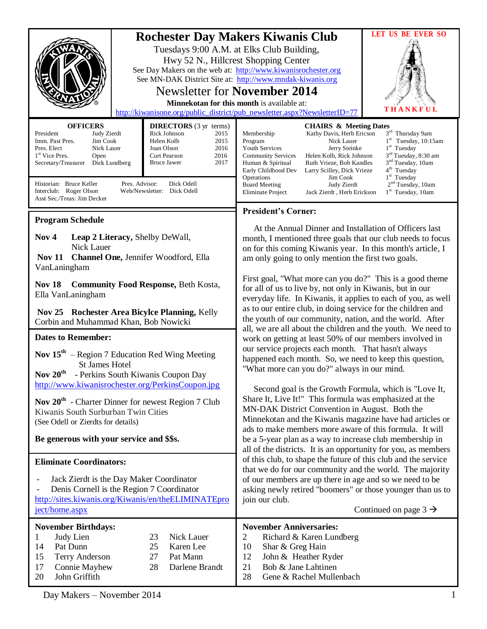|                                                                                                                                                                                                                                                                                             |                                                                                                                                                                                                     | <b>LET US BE EVER SO</b><br><b>Rochester Day Makers Kiwanis Club</b><br>Tuesdays 9:00 A.M. at Elks Club Building,<br>Hwy 52 N., Hillcrest Shopping Center<br>See Day Makers on the web at: http://www.kiwanisrochester.org<br>See MN-DAK District Site at: http://www.mndak-kiwanis.org<br><b>Newsletter for November 2014</b><br>Minnekotan for this month is available at:<br><b>KFUL</b><br>http://kiwanisone.org/public_district/pub_newsletter.aspx?NewsletterID=77                                                                                                                                                                                                                 |  |
|---------------------------------------------------------------------------------------------------------------------------------------------------------------------------------------------------------------------------------------------------------------------------------------------|-----------------------------------------------------------------------------------------------------------------------------------------------------------------------------------------------------|------------------------------------------------------------------------------------------------------------------------------------------------------------------------------------------------------------------------------------------------------------------------------------------------------------------------------------------------------------------------------------------------------------------------------------------------------------------------------------------------------------------------------------------------------------------------------------------------------------------------------------------------------------------------------------------|--|
| <b>OFFICERS</b><br>President<br>Judy Zierdt<br>Jim Cook<br>Imm. Past Pres.<br>Pres. Elect<br>Nick Lauer<br>1 <sup>st</sup> Vice Pres.<br>Open<br>Dick Lundberg<br>Secretary/Treasurer<br>Historian: Bruce Keller<br>Pres. Advisor:<br>Interclub: Roger Olson<br>Asst Sec./Treas: Jim Decker | <b>DIRECTORS</b> (3 yr terms)<br>Rick Johnson<br>2015<br>Helen Kolb<br>2015<br>Joan Olson<br>2016<br>Curt Pearson<br>2016<br>2017<br><b>Bruce Jawer</b><br>Dick Odell<br>Web/Newsletter: Dick Odell | <b>CHAIRS &amp; Meeting Dates</b><br>3rd Thursday 9am<br>Membership<br>Kathy Davis, Herb Ericson<br>$1st$ Tuesday, 10:15am<br>Program<br>Nick Lauer<br>$1st$ Tuesday<br>Jerry Steinke<br><b>Youth Services</b><br>$3^{\rm rd}$ Tuesday, 8:30 am<br><b>Community Services</b><br>Helen Kolb, Rick Johnson<br>3 <sup>nd</sup> Tuesday, 10am<br>Ruth Vrieze, Bob Kandles<br>Human & Spiritual<br>4 <sup>th</sup> Tuesday<br>Early Childhood Dev<br>Larry Scilley, Dick Vrieze<br>$1st$ Tuesday<br>Operations<br>Jim Cook<br>2 <sup>nd</sup> Tuesday, 10am<br><b>Board Meeting</b><br>Judy Zierdt<br>1 <sup>st</sup> Tuesday, 10am<br><b>Eliminate Project</b><br>Jack Zierdt, Herb Erickson |  |
|                                                                                                                                                                                                                                                                                             |                                                                                                                                                                                                     | <b>President's Corner:</b>                                                                                                                                                                                                                                                                                                                                                                                                                                                                                                                                                                                                                                                               |  |
| <b>Program Schedule</b><br>Nov <sub>4</sub><br>Leap 2 Literacy, Shelby DeWall,<br>Nick Lauer<br><b>Nov 11</b><br>Channel One, Jennifer Woodford, Ella<br>VanLaningham                                                                                                                       |                                                                                                                                                                                                     | At the Annual Dinner and Installation of Officers last<br>month, I mentioned three goals that our club needs to focus<br>on for this coming Kiwanis year. In this month's article, I<br>am only going to only mention the first two goals.                                                                                                                                                                                                                                                                                                                                                                                                                                               |  |
| <b>Nov 18</b><br><b>Community Food Response, Beth Kosta,</b><br>Ella VanLaningham<br>Nov 25 Rochester Area Bicylce Planning, Kelly                                                                                                                                                          |                                                                                                                                                                                                     | First goal, "What more can you do?" This is a good theme<br>for all of us to live by, not only in Kiwanis, but in our<br>everyday life. In Kiwanis, it applies to each of you, as well<br>as to our entire club, in doing service for the children and                                                                                                                                                                                                                                                                                                                                                                                                                                   |  |
| Corbin and Muhammad Khan, Bob Nowicki                                                                                                                                                                                                                                                       |                                                                                                                                                                                                     | the youth of our community, nation, and the world. After                                                                                                                                                                                                                                                                                                                                                                                                                                                                                                                                                                                                                                 |  |
| <b>Dates to Remember:</b>                                                                                                                                                                                                                                                                   |                                                                                                                                                                                                     | all, we are all about the children and the youth. We need to<br>work on getting at least 50% of our members involved in<br>our service projects each month. That hasn't always<br>happened each month. So, we need to keep this question,<br>"What more can you do?" always in our mind.                                                                                                                                                                                                                                                                                                                                                                                                 |  |
| <b>Nov 15<sup>th</sup></b> – Region 7 Education Red Wing Meeting<br><b>St James Hotel</b><br>Nov 20 <sup>th</sup> - Perkins South Kiwanis Coupon Day                                                                                                                                        |                                                                                                                                                                                                     |                                                                                                                                                                                                                                                                                                                                                                                                                                                                                                                                                                                                                                                                                          |  |
| http://www.kiwanisrochester.org/PerkinsCoupon.jpg<br>Nov $20^{th}$ - Charter Dinner for newest Region 7 Club<br>Kiwanis South Surburban Twin Cities<br>(See Odell or Zierdts for details)                                                                                                   |                                                                                                                                                                                                     | Second goal is the Growth Formula, which is "Love It,<br>Share It, Live It!" This formula was emphasized at the<br>MN-DAK District Convention in August. Both the<br>Minnekotan and the Kiwanis magazine have had articles or<br>ads to make members more aware of this formula. It will                                                                                                                                                                                                                                                                                                                                                                                                 |  |
| Be generous with your service and \$\$s.                                                                                                                                                                                                                                                    |                                                                                                                                                                                                     | be a 5-year plan as a way to increase club membership in                                                                                                                                                                                                                                                                                                                                                                                                                                                                                                                                                                                                                                 |  |
| <b>Eliminate Coordinators:</b><br>Jack Zierdt is the Day Maker Coordinator                                                                                                                                                                                                                  |                                                                                                                                                                                                     | all of the districts. It is an opportunity for you, as members<br>of this club, to shape the future of this club and the service<br>that we do for our community and the world. The majority<br>of our members are up there in age and so we need to be                                                                                                                                                                                                                                                                                                                                                                                                                                  |  |
| Denis Cornell is the Region 7 Coordinator<br>http://sites.kiwanis.org/Kiwanis/en/theELIMINATEpro<br>ject/home.aspx                                                                                                                                                                          |                                                                                                                                                                                                     | asking newly retired "boomers" or those younger than us to<br>join our club.<br>Continued on page $3 \rightarrow$                                                                                                                                                                                                                                                                                                                                                                                                                                                                                                                                                                        |  |
| <b>November Birthdays:</b>                                                                                                                                                                                                                                                                  |                                                                                                                                                                                                     | <b>November Anniversaries:</b>                                                                                                                                                                                                                                                                                                                                                                                                                                                                                                                                                                                                                                                           |  |
| 1<br>Judy Lien<br>Pat Dunn<br>14<br>15<br><b>Terry Anderson</b><br>17<br>Connie Mayhew<br>John Griffith<br>20                                                                                                                                                                               | 23<br>Nick Lauer<br>25<br>Karen Lee<br>27<br>Pat Mann<br>28<br>Darlene Brandt                                                                                                                       | $\overline{2}$<br>Richard & Karen Lundberg<br>10<br>Shar & Greg Hain<br>12<br>John & Heather Ryder<br>Bob & Jane Lahtinen<br>21<br>28<br>Gene & Rachel Mullenbach                                                                                                                                                                                                                                                                                                                                                                                                                                                                                                                        |  |

Day Makers – November 2014 1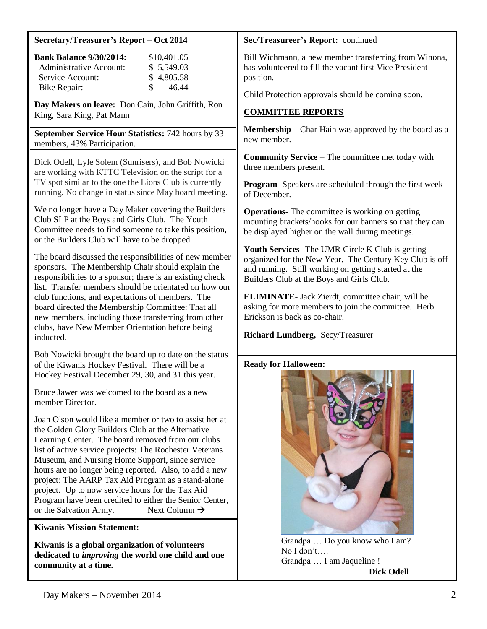#### **Secretary/Treasurer's Report – Oct 2014**

| <b>Bank Balance 9/30/2014:</b> | \$10,401.05            |
|--------------------------------|------------------------|
| Administrative Account:        | \$5,549.03             |
| Service Account:               | \$4,805.58             |
| <b>Bike Repair:</b>            | $\mathcal{S}$<br>46.44 |

**Day Makers on leave:** Don Cain, John Griffith, Ron King, Sara King, Pat Mann

**September Service Hour Statistics:** 742 hours by 33 members, 43% Participation.

Dick Odell, Lyle Solem (Sunrisers), and Bob Nowicki are working with KTTC Television on the script for a TV spot similar to the one the Lions Club is currently running. No change in status since May board meeting.

We no longer have a Day Maker covering the Builders Club SLP at the Boys and Girls Club. The Youth Committee needs to find someone to take this position, or the Builders Club will have to be dropped.

The board discussed the responsibilities of new member sponsors. The Membership Chair should explain the responsibilities to a sponsor; there is an existing check list. Transfer members should be orientated on how our club functions, and expectations of members. The board directed the Membership Committee: That all new members, including those transferring from other clubs, have New Member Orientation before being inducted.

Bob Nowicki brought the board up to date on the status of the Kiwanis Hockey Festival. There will be a Hockey Festival December 29, 30, and 31 this year.

Bruce Jawer was welcomed to the board as a new member Director.

Joan Olson would like a member or two to assist her at the Golden Glory Builders Club at the Alternative Learning Center. The board removed from our clubs list of active service projects: The Rochester Veterans Museum, and Nursing Home Support, since service hours are no longer being reported. Also, to add a new project: The AARP Tax Aid Program as a stand-alone project. Up to now service hours for the Tax Aid Program have been credited to either the Senior Center, or the Salvation Army. Next Column  $\rightarrow$ 

### **Kiwanis Mission Statement:**

Bill Wichmann, a new member transferring from **Kiwanis is a global organization of volunteers** dedicated to *improving* the world one child and one **community at a time.**

Child Protection approvals should be coming soon.

#### **Sec/Treasureer's Report:** continued

Bill Wichmann, a new member transferring from Winona, has volunteered to fill the vacant first Vice President position.

Child Protection approvals should be coming soon.

# **COMMITTEE REPORTS**

**Membership –** Char Hain was approved by the board as a new member.

**Community Service –** The committee met today with three members present.

**Program-** Speakers are scheduled through the first week of December.

**Operations-** The committee is working on getting mounting brackets/hooks for our banners so that they can be displayed higher on the wall during meetings.

**Youth Services-** The UMR Circle K Club is getting organized for the New Year. The Century Key Club is off and running. Still working on getting started at the Builders Club at the Boys and Girls Club.

**ELIMINATE**- Jack Zierdt, committee chair, will be asking for more members to join the committee. Herb Erickson is back as co-chair.

**Richard Lundberg,** Secy/Treasurer

### **Ready for Halloween:**



 Grandpa … Do you know who I am? No I don't…. Grandpa … I am Jaqueline !  **Dick Odell**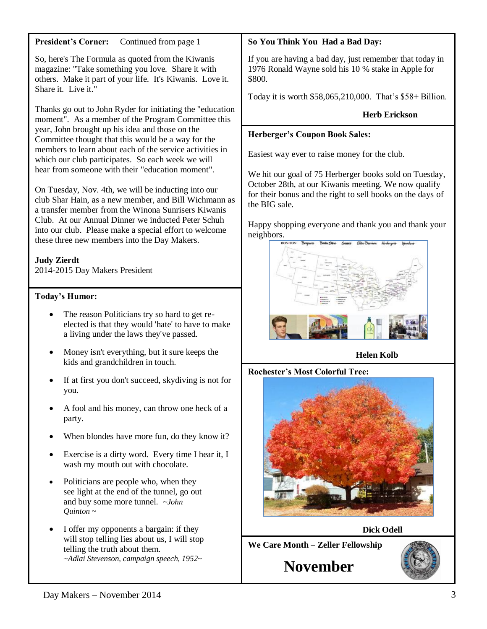## **President's Corner:** Continued from page 1

So, here's The Formula as quoted from the Kiwanis magazine: "Take something you love. Share it with others. Make it part of your life. It's Kiwanis. Love it. Share it. Live it."

Thanks go out to John Ryder for initiating the "education moment". As a member of the Program Committee this year, John brought up his idea and those on the Committee thought that this would be a way for the members to learn about each of the service activities in which our club participates. So each week we will hear from someone with their "education moment".

On Tuesday, Nov. 4th, we will be inducting into our club Shar Hain, as a new member, and Bill Wichmann as a transfer member from the Winona Sunrisers Kiwanis Club. At our Annual Dinner we inducted Peter Schuh into our club. Please make a special effort to welcome these three new members into the Day Makers.

## **Judy Zierdt**

2014-2015 Day Makers President

## **Today's Humor:**

- The reason Politicians try so hard to get reelected is that they would 'hate' to have to make a living under the laws they've passed.
- Money isn't everything, but it sure keeps the kids and grandchildren in touch.
- If at first you don't succeed, skydiving is not for you.
- A fool and his money, can throw one heck of a party.
- When blondes have more fun, do they know it?
- Exercise is a dirty word. Every time I hear it, I wash my mouth out with chocolate.
- Politicians are people who, when they see light at the end of the tunnel, go out and buy some more tunnel. *~John Quinton ~*
- I offer my opponents a bargain: if they will stop telling lies about us, I will stop telling the truth about them. ~*Adlai Stevenson, campaign speech, 1952~*

## **So You Think You Had a Bad Day:**

If you are having a bad day, just remember that today in 1976 Ronald Wayne sold his 10 % stake in Apple for \$800.

Today it is worth \$58,065,210,000. That's \$58+ Billion.

## **Herb Erickson**

#### **Herberger's Coupon Book Sales:**

Easiest way ever to raise money for the club.

We hit our goal of 75 Herberger books sold on Tuesday, October 28th, at our Kiwanis meeting. We now qualify for their bonus and the right to sell books on the days of the BIG sale.

Happy shopping everyone and thank you and thank your neighbors.



**Helen Kolb**

**Rochester's Most Colorful Tree:**



**Dick Odell**

**We Care Month – Zeller Fellowship**

**November**